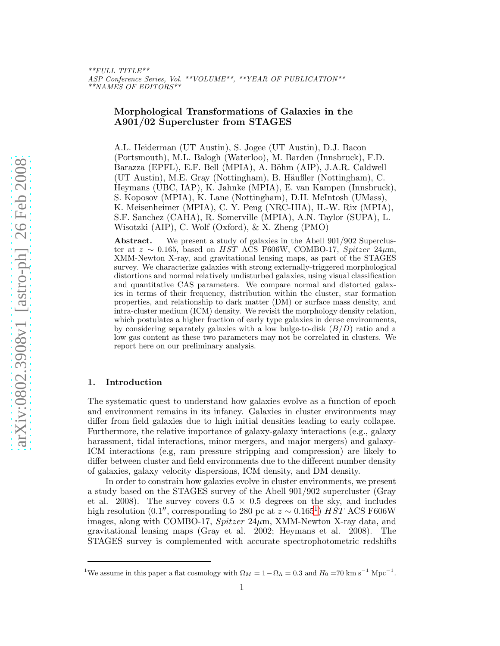\*\*FULL TITLE\*\* ASP Conference Series, Vol. \*\*VOLUME\*\*, \*\*YEAR OF PUBLICATION\*\* \*\*NAMES OF EDITORS\*\*

# Morphological Transformations of Galaxies in the A901/02 Supercluster from STAGES

A.L. Heiderman (UT Austin), S. Jogee (UT Austin), D.J. Bacon (Portsmouth), M.L. Balogh (Waterloo), M. Barden (Innsbruck), F.D. Barazza (EPFL), E.F. Bell (MPIA), A. Böhm (AIP), J.A.R. Caldwell (UT Austin), M.E. Gray (Nottingham), B. Häußler (Nottingham), C. Heymans (UBC, IAP), K. Jahnke (MPIA), E. van Kampen (Innsbruck), S. Koposov (MPIA), K. Lane (Nottingham), D.H. McIntosh (UMass), K. Meisenheimer (MPIA), C. Y. Peng (NRC-HIA), H.-W. Rix (MPIA), S.F. Sanchez (CAHA), R. Somerville (MPIA), A.N. Taylor (SUPA), L. Wisotzki (AIP), C. Wolf (Oxford), & X. Zheng (PMO)

Abstract. We present a study of galaxies in the Abell 901/902 Supercluster at  $z \sim 0.165$ , based on HST ACS F606W, COMBO-17, Spitzer 24 $\mu$ m, XMM-Newton X-ray, and gravitational lensing maps, as part of the STAGES survey. We characterize galaxies with strong externally-triggered morphological distortions and normal relatively undisturbed galaxies, using visual classification and quantitative CAS parameters. We compare normal and distorted galaxies in terms of their frequency, distribution within the cluster, star formation properties, and relationship to dark matter (DM) or surface mass density, and intra-cluster medium (ICM) density. We revisit the morphology density relation, which postulates a higher fraction of early type galaxies in dense environments, by considering separately galaxies with a low bulge-to-disk  $(B/D)$  ratio and a low gas content as these two parameters may not be correlated in clusters. We report here on our preliminary analysis.

## 1. Introduction

The systematic quest to understand how galaxies evolve as a function of epoch and environment remains in its infancy. Galaxies in cluster environments may differ from field galaxies due to high initial densities leading to early collapse. Furthermore, the relative importance of galaxy-galaxy interactions (e.g., galaxy harassment, tidal interactions, minor mergers, and major mergers) and galaxy-ICM interactions (e.g, ram pressure stripping and compression) are likely to differ between cluster and field environments due to the different number density of galaxies, galaxy velocity dispersions, ICM density, and DM density.

In order to constrain how galaxies evolve in cluster environments, we present a study based on the STAGES survey of the Abell 901/902 supercluster (Gray et al. 2008). The survey covers  $0.5 \times 0.5$  degrees on the sky, and includes high resolution (0.[1](#page-0-0)'', corresponding to 280 pc at  $z \sim 0.165^1$ )  $HST$  ACS F606W images, along with COMBO-17,  $Spitzer 24\mu$ m, XMM-Newton X-ray data, and gravitational lensing maps (Gray et al. 2002; Heymans et al. 2008). The STAGES survey is complemented with accurate spectrophotometric redshifts

<span id="page-0-0"></span><sup>&</sup>lt;sup>1</sup>We assume in this paper a flat cosmology with  $\Omega_M = 1 - \Omega_{\Lambda} = 0.3$  and  $H_0 = 70$  km s<sup>-1</sup> Mpc<sup>-1</sup>.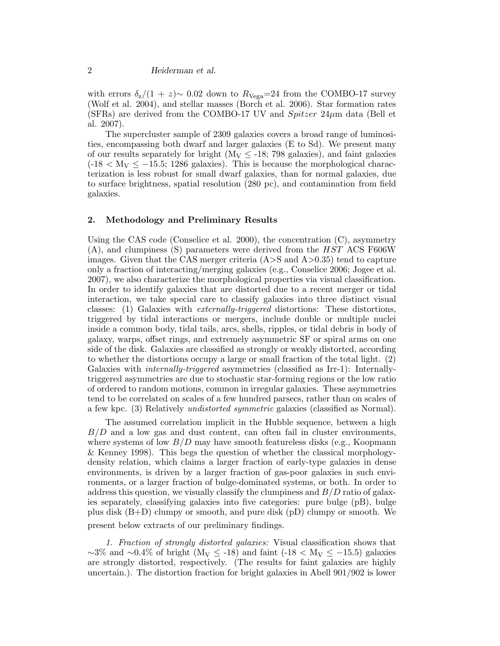with errors  $\delta_z/(1+z) \sim 0.02$  down to  $R_{\text{Vega}}=24$  from the COMBO-17 survey (Wolf et al. 2004), and stellar masses (Borch et al. 2006). Star formation rates (SFRs) are derived from the COMBO-17 UV and Spitzer  $24\mu$ m data (Bell et al. 2007).

The supercluster sample of 2309 galaxies covers a broad range of luminosities, encompassing both dwarf and larger galaxies (E to Sd). We present many of our results separately for bright  $(M_V \le -18; 798 \text{ galaxies})$ , and faint galaxies  $(-18 \lt N_V \le -15.5; 1286$  galaxies). This is because the morphological characterization is less robust for small dwarf galaxies, than for normal galaxies, due to surface brightness, spatial resolution (280 pc), and contamination from field galaxies.

## 2. Methodology and Preliminary Results

Using the CAS code (Conselice et al. 2000), the concentration  $(C)$ , asymmetry  $(A)$ , and clumpiness (S) parameters were derived from the HST ACS F606W images. Given that the CAS merger criteria  $(A>S$  and  $A>0.35)$  tend to capture only a fraction of interacting/merging galaxies (e.g., Conselice 2006; Jogee et al. 2007), we also characterize the morphological properties via visual classification. In order to identify galaxies that are distorted due to a recent merger or tidal interaction, we take special care to classify galaxies into three distinct visual classes: (1) Galaxies with *externally-triggered* distortions: These distortions, triggered by tidal interactions or mergers, include double or multiple nuclei inside a common body, tidal tails, arcs, shells, ripples, or tidal debris in body of galaxy, warps, offset rings, and extremely asymmetric SF or spiral arms on one side of the disk. Galaxies are classified as strongly or weakly distorted, according to whether the distortions occupy a large or small fraction of the total light. (2) Galaxies with *internally-triggered* asymmetries (classified as Irr-1): Internallytriggered asymmetries are due to stochastic star-forming regions or the low ratio of ordered to random motions, common in irregular galaxies. These asymmetries tend to be correlated on scales of a few hundred parsecs, rather than on scales of a few kpc. (3) Relatively *undistorted symmetric* galaxies (classified as Normal).

The assumed correlation implicit in the Hubble sequence, between a high  $B/D$  and a low gas and dust content, can often fail in cluster environments, where systems of low  $B/D$  may have smooth featureless disks (e.g., Koopmann & Kenney 1998). This begs the question of whether the classical morphologydensity relation, which claims a larger fraction of early-type galaxies in dense environments, is driven by a larger fraction of gas-poor galaxies in such environments, or a larger fraction of bulge-dominated systems, or both. In order to address this question, we visually classify the clumpiness and  $B/D$  ratio of galaxies separately, classifying galaxies into five categories: pure bulge (pB), bulge plus disk (B+D) clumpy or smooth, and pure disk (pD) clumpy or smooth. We present below extracts of our preliminary findings.

*1. Fraction of strongly distorted galaxies:* Visual classification shows that  $\sim$ 3% and  $\sim$ 0.4% of bright (M<sub>V</sub> < -18) and faint (-18 < M<sub>V</sub> < -15.5) galaxies are strongly distorted, respectively. (The results for faint galaxies are highly uncertain.). The distortion fraction for bright galaxies in Abell 901/902 is lower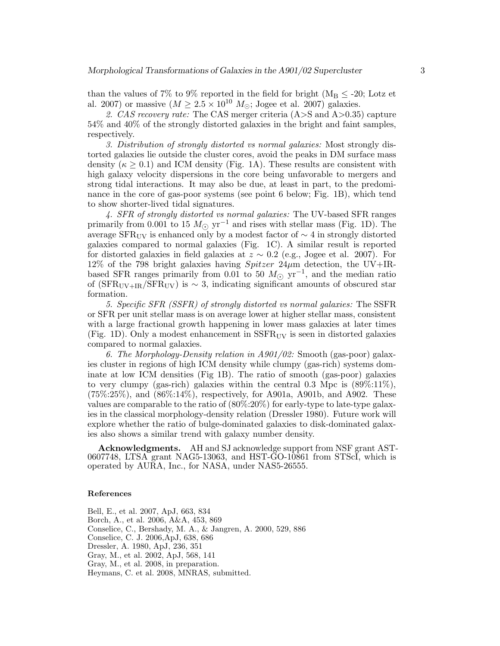than the values of 7% to 9% reported in the field for bright ( $M_B \leq -20$ ; Lotz et al. 2007) or massive  $(M \geq 2.5 \times 10^{10} M_{\odot};$  Jogee et al. 2007) galaxies.

*2. CAS recovery rate:* The CAS merger criteria (A>S and A>0.35) capture 54% and 40% of the strongly distorted galaxies in the bright and faint samples, respectively.

*3. Distribution of strongly distorted vs normal galaxies:* Most strongly distorted galaxies lie outside the cluster cores, avoid the peaks in DM surface mass density ( $\kappa \geq 0.1$ ) and ICM density (Fig. 1A). These results are consistent with high galaxy velocity dispersions in the core being unfavorable to mergers and strong tidal interactions. It may also be due, at least in part, to the predominance in the core of gas-poor systems (see point 6 below; Fig. 1B), which tend to show shorter-lived tidal signatures.

*4. SFR of strongly distorted vs normal galaxies:* The UV-based SFR ranges primarily from 0.001 to 15  $M_{\odot}$  yr<sup>-1</sup> and rises with stellar mass (Fig. 1D). The average  $SFR_{UV}$  is enhanced only by a modest factor of  $\sim 4$  in strongly distorted galaxies compared to normal galaxies (Fig. 1C). A similar result is reported for distorted galaxies in field galaxies at  $z \sim 0.2$  (e.g., Jogee et al. 2007). For 12% of the 798 bright galaxies having  $Spitzer$  24 $\mu$ m detection, the UV+IRbased SFR ranges primarily from 0.01 to 50  $M_{\odot}$  yr<sup>-1</sup>, and the median ratio of (SFR<sub>UV+IR</sub>/SFR<sub>UV</sub>) is ~ 3, indicating significant amounts of obscured star formation.

*5. Specific SFR (SSFR) of strongly distorted vs normal galaxies:* The SSFR or SFR per unit stellar mass is on average lower at higher stellar mass, consistent with a large fractional growth happening in lower mass galaxies at later times (Fig. 1D). Only a modest enhancement in  $SSFR_{UV}$  is seen in distorted galaxies compared to normal galaxies.

*6. The Morphology-Density relation in A901/02:* Smooth (gas-poor) galaxies cluster in regions of high ICM density while clumpy (gas-rich) systems dominate at low ICM densities (Fig 1B). The ratio of smooth (gas-poor) galaxies to very clumpy (gas-rich) galaxies within the central 0.3 Mpc is  $(89\%:11\%)$ , (75%:25%), and (86%:14%), respectively, for A901a, A901b, and A902. These values are comparable to the ratio of (80%:20%) for early-type to late-type galaxies in the classical morphology-density relation (Dressler 1980). Future work will explore whether the ratio of bulge-dominated galaxies to disk-dominated galaxies also shows a similar trend with galaxy number density.

Acknowledgments. AH and SJ acknowledge support from NSF grant AST-0607748, LTSA grant NAG5-13063, and HST-GO-10861 from STScI, which is operated by AURA, Inc., for NASA, under NAS5-26555.

### References

Bell, E., et al. 2007, ApJ, 663, 834 Borch, A., et al. 2006, A&A, 453, 869 Conselice, C., Bershady, M. A., & Jangren, A. 2000, 529, 886 Conselice, C. J. 2006,ApJ, 638, 686 Dressler, A. 1980, ApJ, 236, 351 Gray, M., et al. 2002, ApJ, 568, 141 Gray, M., et al. 2008, in preparation. Heymans, C. et al. 2008, MNRAS, submitted.